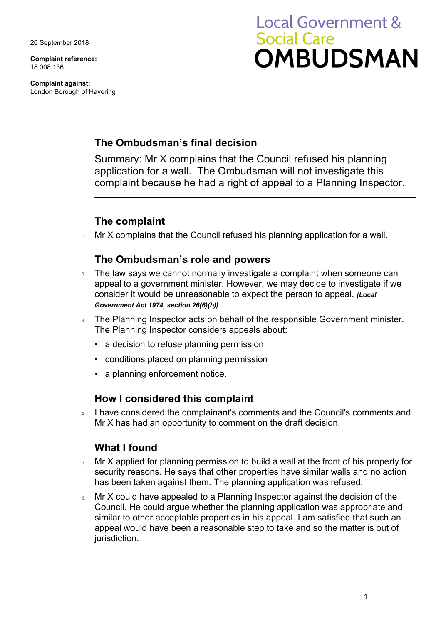26 September 2018

**Complaint reference:**  18 008 136

**Complaint against:**  London Borough of Havering

# **Local Government & Social Care OMBUDSMAN**

### **The Ombudsman's final decision**

 complaint because he had a right of appeal to a Planning Inspector. Summary: Mr X complains that the Council refused his planning application for a wall. The Ombudsman will not investigate this

## **The complaint**

1. Mr X complains that the Council refused his planning application for a wall.

#### **The Ombudsman's role and powers**

- 2. The law says we cannot normally investigate a complaint when someone can appeal to a government minister. However, we may decide to investigate if we consider it would be unreasonable to expect the person to appeal. *(Local Government Act 1974, section 26(6)(b))*
- 3. The Planning Inspector acts on behalf of the responsible Government minister. The Planning Inspector considers appeals about:
	- a decision to refuse planning permission
	- conditions placed on planning permission
	- a planning enforcement notice.

#### **How I considered this complaint**

4. I have considered the complainant's comments and the Council's comments and Mr X has had an opportunity to comment on the draft decision.

#### **What I found**

- 5. Mr X applied for planning permission to build a wall at the front of his property for security reasons. He says that other properties have similar walls and no action has been taken against them. The planning application was refused.
- 6. Mr X could have appealed to a Planning Inspector against the decision of the Council. He could argue whether the planning application was appropriate and similar to other acceptable properties in his appeal. I am satisfied that such an appeal would have been a reasonable step to take and so the matter is out of jurisdiction.